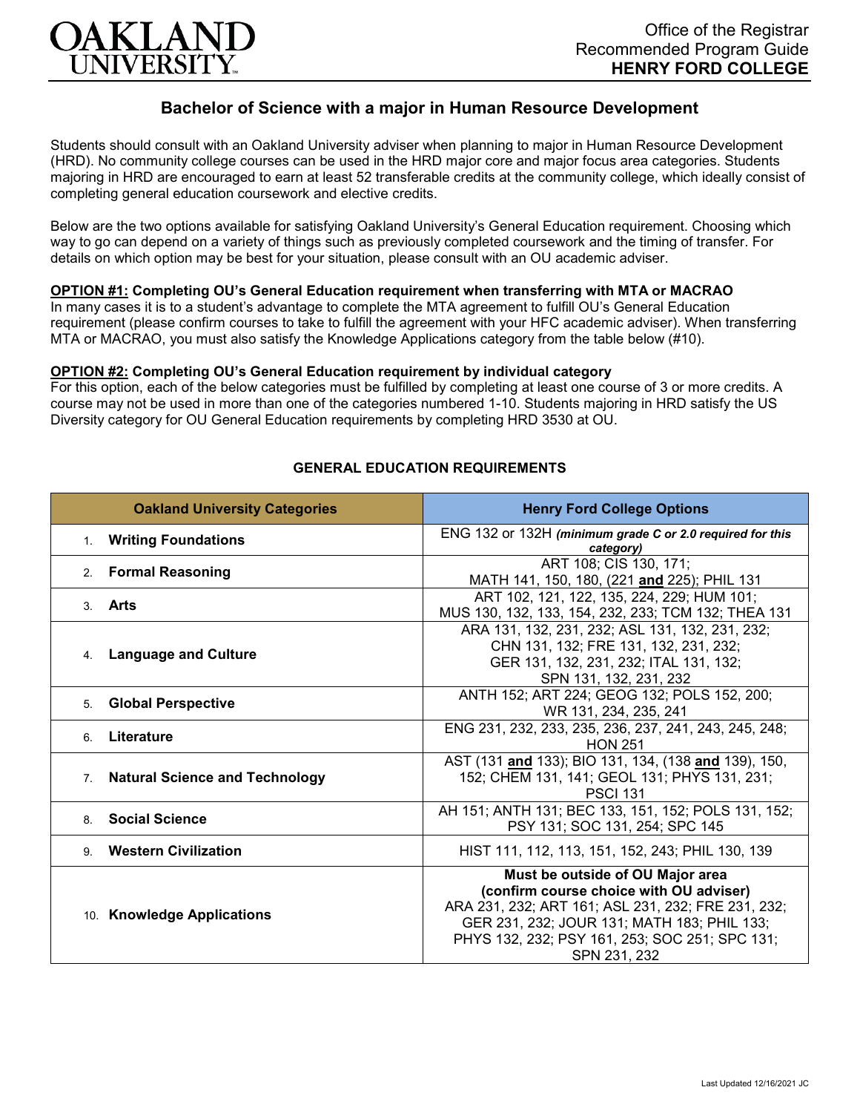

# **Bachelor of Science with a major in Human Resource Development**

Students should consult with an Oakland University adviser when planning to major in Human Resource Development (HRD). No community college courses can be used in the HRD major core and major focus area categories. Students majoring in HRD are encouraged to earn at least 52 transferable credits at the community college, which ideally consist of completing general education coursework and elective credits.

Below are the two options available for satisfying Oakland University's General Education requirement. Choosing which way to go can depend on a variety of things such as previously completed coursework and the timing of transfer. For details on which option may be best for your situation, please consult with an OU academic adviser.

## **OPTION #1: Completing OU's General Education requirement when transferring with MTA or MACRAO**

In many cases it is to a student's advantage to complete the MTA agreement to fulfill OU's General Education requirement (please confirm courses to take to fulfill the agreement with your HFC academic adviser). When transferring MTA or MACRAO, you must also satisfy the Knowledge Applications category from the table below (#10).

#### **OPTION #2: Completing OU's General Education requirement by individual category**

For this option, each of the below categories must be fulfilled by completing at least one course of 3 or more credits. A course may not be used in more than one of the categories numbered 1-10. Students majoring in HRD satisfy the US Diversity category for OU General Education requirements by completing HRD 3530 at OU.

| <b>Oakland University Categories</b>                    | <b>Henry Ford College Options</b>                                                                                                                                                                                                                  |
|---------------------------------------------------------|----------------------------------------------------------------------------------------------------------------------------------------------------------------------------------------------------------------------------------------------------|
| <b>Writing Foundations</b><br>$1_{-}$                   | ENG 132 or 132H (minimum grade C or 2.0 required for this<br>category)                                                                                                                                                                             |
| 2. Formal Reasoning                                     | ART 108; CIS 130, 171;<br>MATH 141, 150, 180, (221 and 225); PHIL 131                                                                                                                                                                              |
| Arts<br>3                                               | ART 102, 121, 122, 135, 224, 229; HUM 101;<br>MUS 130, 132, 133, 154, 232, 233; TCM 132; THEA 131                                                                                                                                                  |
| <b>Language and Culture</b><br>4.                       | ARA 131, 132, 231, 232; ASL 131, 132, 231, 232;<br>CHN 131, 132; FRE 131, 132, 231, 232;<br>GER 131, 132, 231, 232; ITAL 131, 132;<br>SPN 131, 132, 231, 232                                                                                       |
| <b>Global Perspective</b><br>5.                         | ANTH 152; ART 224; GEOG 132; POLS 152, 200;<br>WR 131, 234, 235, 241                                                                                                                                                                               |
| Literature<br>6.                                        | ENG 231, 232, 233, 235, 236, 237, 241, 243, 245, 248;<br><b>HON 251</b>                                                                                                                                                                            |
| <b>Natural Science and Technology</b><br>7 <sub>1</sub> | AST (131 and 133); BIO 131, 134, (138 and 139), 150,<br>152; CHEM 131, 141; GEOL 131; PHYS 131, 231;<br><b>PSCI 131</b>                                                                                                                            |
| 8. Social Science                                       | AH 151; ANTH 131; BEC 133, 151, 152; POLS 131, 152;<br>PSY 131; SOC 131, 254; SPC 145                                                                                                                                                              |
| 9 Western Civilization                                  | HIST 111, 112, 113, 151, 152, 243; PHIL 130, 139                                                                                                                                                                                                   |
| 10. Knowledge Applications                              | Must be outside of OU Major area<br>(confirm course choice with OU adviser)<br>ARA 231, 232; ART 161; ASL 231, 232; FRE 231, 232;<br>GER 231, 232; JOUR 131; MATH 183; PHIL 133;<br>PHYS 132, 232; PSY 161, 253; SOC 251; SPC 131;<br>SPN 231, 232 |

### **GENERAL EDUCATION REQUIREMENTS**